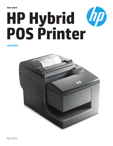#### **Data sheet**

# **HP Hybrid POS Printer**

#### **with MICR**

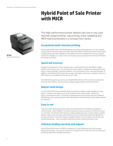## **HARRIS HP POS**

HP Hybrid POS Printer

### **Hybrid Point of Sale Printer with MICR**

This high-performance printer delivers fast one or two color thermal receipt printing<sup>1</sup>, slip printing, check validating and MICR read functionality in a compact form factor.

#### **Exceptional multi-function printing**

The HP Hybrid POS Printer with MICR (Magnetic Ink Character Recognition) is an ultra-reliable, multifunctional thermal receipt and impact slip printer ideal for retail environments that require receipt printing and check validation or the ability to print on multiple forms such as coupons and returns. Retailers can reduce check fraud and increase transaction time with the HP Hybrid POS Printer with MICR.

#### **Speed and accuracy**

Designed as a high performance receipt printer, the HP Hybrid Printer with MICR is reliable without sacrificing accuracy. The fast thermal receipt station is capable of printing watermarks, logos, coupons and other "attention grabbers" on monochrome or two-color thermal paper. In addition, the HP Hybrid POS Printer has an impact slip station with drop-in validation. Checks or other forms can be loaded from the top, front or side.

Versatile without giving up accuracy, its reliable 99% minimum check read rate is among the best in its class. MICR is read from checks, general ledger tickets or other documents.

#### **Robust retail design**

The HP Hybrid POS Printer with MICR meets the needs of retailers combining efficiency with style. Its compact size makes it one of the smallest on the market today—perfect for space-constrained locations. The printer is powered directly by the host unit via its Powered USB interface, thus reducing power outlet requirements and minimizing overall cables required for operation.

#### **Easy to use**

Featuring a self-sharpening ceramic knife, the HP Hybrid Printer with MICR is equipped to maximize auto-cutter reliability. Its long life expectancy gives you peace of mind so you know it's on the job. The intuitive thermal drop-in paper loading and snap-in impact ribbon cassette designs means store associates will be able to quickly change consumables and get back to serving customers. The printer features multiple indicators, such as paper low, exhaust, and positive slip position. Store associates will find this printer intuitive and easy to use.

#### **Industry-leading warranty and support**

The HP Hybrid POS Printer with MICR is backed by a 3-year limited warranty that includes Advanced Exchange<sup>3</sup>. You can also select from a range of HP Care Pack Services to extend your protection beyond the standard warranties<sup>2</sup>.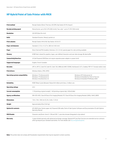#### **HP Hybrid Point of Sale Printer with MICR**

| <b>Print method</b>                   | Receipt Station (Direct Thermal, 203 DPI); Slip Station (9-Pin Impact)                                                                                                                                             |                                                                                                       |
|---------------------------------------|--------------------------------------------------------------------------------------------------------------------------------------------------------------------------------------------------------------------|-------------------------------------------------------------------------------------------------------|
| <b>Receipt printing speed</b>         | Monochrome: up to 59.2 LPS (200 mm/s); Two-color1: up to 27 LPS (100 mm/s)                                                                                                                                         |                                                                                                       |
| <b>Resolution</b>                     | 203 DPI (Dots Per Inch)                                                                                                                                                                                            |                                                                                                       |
| Knife                                 | Standard (Ceramic, Rotary); partial cut                                                                                                                                                                            |                                                                                                       |
| <b>Print columns</b>                  | Receipt Station (44 & 56); Slip Station: (42 & 51)                                                                                                                                                                 |                                                                                                       |
| Paper roll diameter                   | Standard: 3.15 in. X 3.27 in. (80 mm X 83 mm)                                                                                                                                                                      |                                                                                                       |
| Paper                                 | Direct thermal POS Grade(s), thickness: 2.0-3.4 mil; special paper for color printing available                                                                                                                    |                                                                                                       |
| <b>Memory</b>                         | 8 MB Flash; shared for graphics, logos, user defined characters and user data storage; 8k data buffer                                                                                                              |                                                                                                       |
| <b>Connectivity/Interface</b>         | 24 Volt Powered USB (Does not require separate power adapter or power brick)                                                                                                                                       |                                                                                                       |
| <b>Supported languages</b>            | English, French Canadian                                                                                                                                                                                           |                                                                                                       |
| <b>Barcodes</b>                       | UPC-A, UPC-E, Code 39, Code 93, Code 128, JAN8 and JAN13 (EAN), Interleaved 2 of 5, Codabar, PDF 417 (receipt station only)                                                                                        |                                                                                                       |
| <b>Print drivers</b>                  | Windows Native, JPOS, OPOS                                                                                                                                                                                         |                                                                                                       |
| <b>Operating system compatibility</b> | Windows 7 Professional 64<br>Windows 7 Professional 32<br>Windows Vista Business 32                                                                                                                                | Windows XP Professional 32<br>Windows Embedded for Point of Service<br>Windows Embedded POSReady 2009 |
| <b>Reliability</b>                    | MCBF (Mean Cycles Between Failure) 64 million print lines, 2 million cuts                                                                                                                                          |                                                                                                       |
| <b>Operating voltage</b>              | 24 V                                                                                                                                                                                                               |                                                                                                       |
| <b>Current consumption</b>            | 1.7A (printing a typical receipt), 1.4A (printing a typical slip), 320mA (idle)                                                                                                                                    |                                                                                                       |
| <b>Agency certifications</b>          | EMI: ICES-003, Class B (Class A for Imaging Module); FCC Class B (Class A for Imaging Module), WHQL, RoHS, WEEE                                                                                                    |                                                                                                       |
| <b>Dimensions</b>                     | 134 x 144 x 184 mm (5.34 x 5.66 x 7.24 in)                                                                                                                                                                         |                                                                                                       |
| Weight                                | Approximately 8 lbs (3.62 kg)                                                                                                                                                                                      |                                                                                                       |
| <b>Option kit contents</b>            | HP USB Printer, Starter paper roll, Powered USB cable, Point of Sale System Software and Documentation CD with Options<br>Warranty Manual                                                                          |                                                                                                       |
| <b>MICR Reader</b>                    | Character sets/fonts: fonts E-13B and CMC-7, auto discriminate (Integrated in slip station)                                                                                                                        |                                                                                                       |
| Warranty                              | 3 years limited warranty with advanced exchange coverage; Optional HP Care Pack Services are extended service contracts<br>which go beyond your standard warranties. For more details visit: hp.com/go/lookuptool. |                                                                                                       |

**Note:** This printer does not comply with fiscalization requirements that may be required in certain countries.